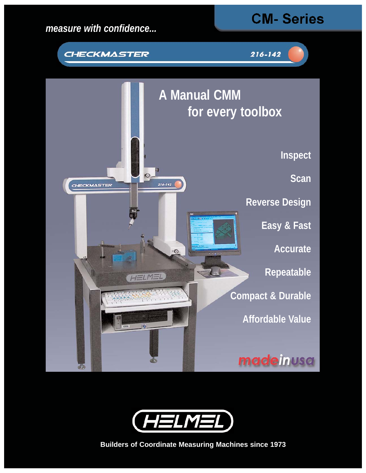











**Builders of Coordinate Measuring Machines since 1973**